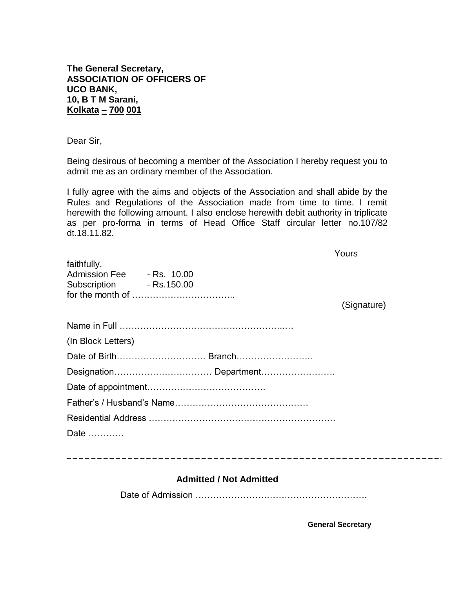**The General Secretary, ASSOCIATION OF OFFICERS OF UCO BANK, 10, B T M Sarani, Kolkata – 700 001**

Dear Sir,

Being desirous of becoming a member of the Association I hereby request you to admit me as an ordinary member of the Association.

I fully agree with the aims and objects of the Association and shall abide by the Rules and Regulations of the Association made from time to time. I remit herewith the following amount. I also enclose herewith debit authority in triplicate as per pro-forma in terms of Head Office Staff circular letter no.107/82 dt.18.11.82.

|                                                                      | Yours       |
|----------------------------------------------------------------------|-------------|
| faithfully,<br>Admission Fee - Rs. 10.00<br>Subscription - Rs.150.00 |             |
|                                                                      | (Signature) |
|                                                                      |             |
| (In Block Letters)                                                   |             |
|                                                                      |             |
|                                                                      |             |
|                                                                      |             |
|                                                                      |             |
|                                                                      |             |
| Date                                                                 |             |
|                                                                      |             |

## **Admitted / Not Admitted**

Date of Admission ………………………………………………….

**General Secretary**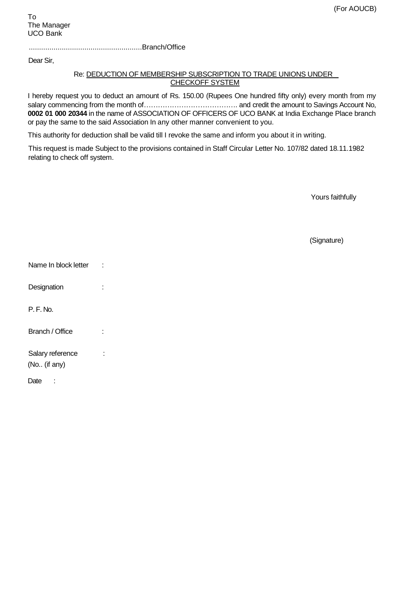.......................................................Branch/Office

Dear Sir,

## Re: DEDUCTION OF MEMBERSHIP SUBSCRIPTION TO TRADE UNIONS UNDER CHECKOFF SYSTEM

I hereby request you to deduct an amount of Rs. 150.00 (Rupees One hundred fifty only) every month from my salary commencing from the month of…………………………………. and credit the amount to Savings Account No, **0002 01 000 20344** in the name of ASSOCIATION OF OFFICERS OF UCO BANK at India Exchange Place branch or pay the same to the said Association In any other manner convenient to you.

This authority for deduction shall be valid till I revoke the same and inform you about it in writing.

This request is made Subject to the provisions contained in Staff Circular Letter No. 107/82 dated 18.11.1982 relating to check off system.

Yours faithfully

(Signature)

| Name In block letter             |  |
|----------------------------------|--|
| Designation                      |  |
| P.F.Mo.                          |  |
| Branch / Office                  |  |
| Salary reference<br>(No (if any) |  |
| Date                             |  |